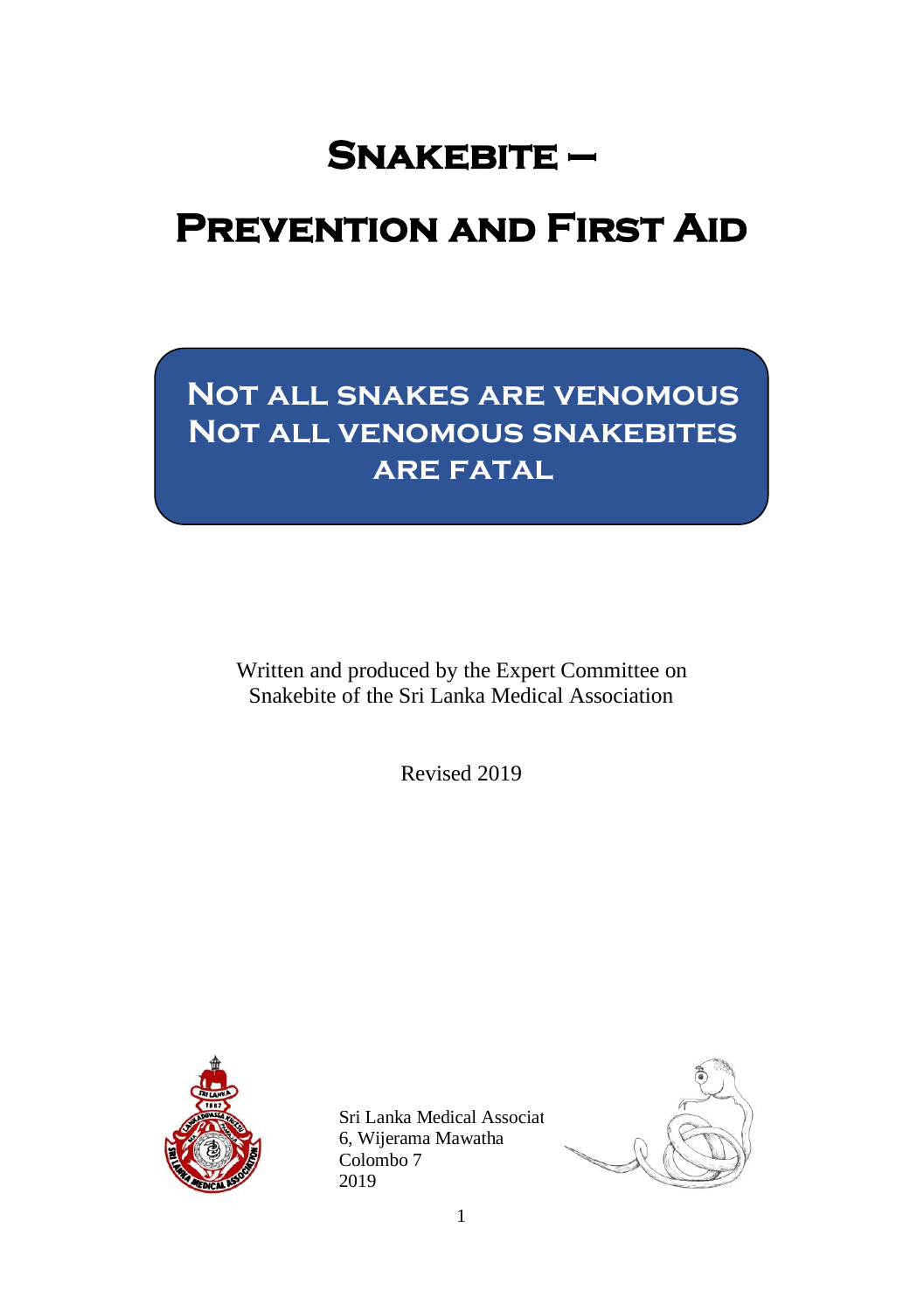## **Snakebite —**

# **Prevention and First Aid**

## **Not all snakes are venomous Not all venomous snakebites are fatal**

Written and produced by the Expert Committee on Snakebite of the Sri Lanka Medical Association

Revised 2019



Sri Lanka Medical Associat 6, Wijerama Mawatha Colombo 7 2019

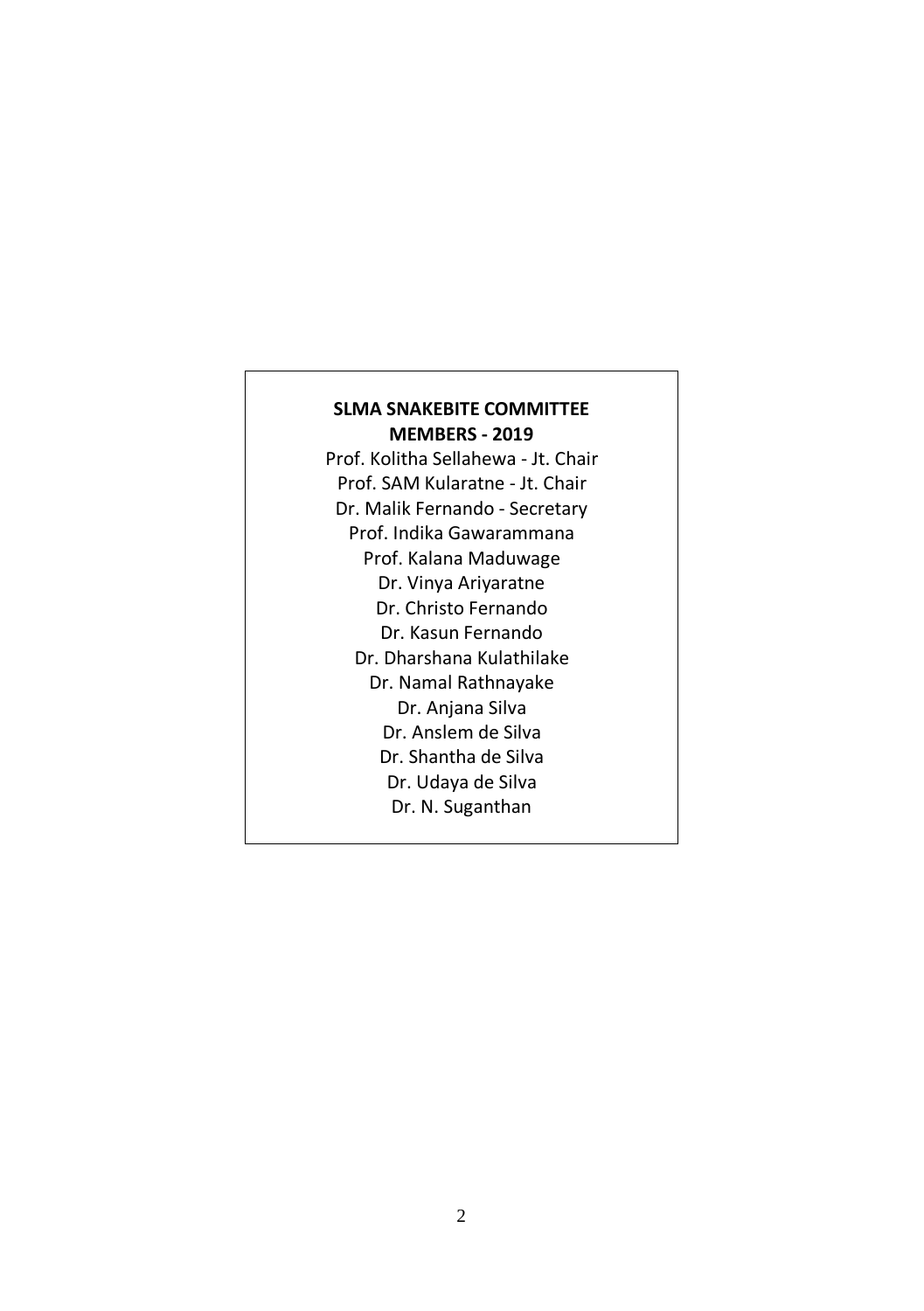#### **SLMA SNAKEBITE COMMITTEE MEMBERS - 2019**

Prof. Kolitha Sellahewa - Jt. Chair Prof. SAM Kularatne - Jt. Chair Dr. Malik Fernando - Secretary Prof. Indika Gawarammana Prof. Kalana Maduwage Dr. Vinya Ariyaratne Dr. Christo Fernando Dr. Kasun Fernando Dr. Dharshana Kulathilake Dr. Namal Rathnayake Dr. Anjana Silva Dr. Anslem de Silva Dr. Shantha de Silva Dr. Udaya de Silva Dr. N. Suganthan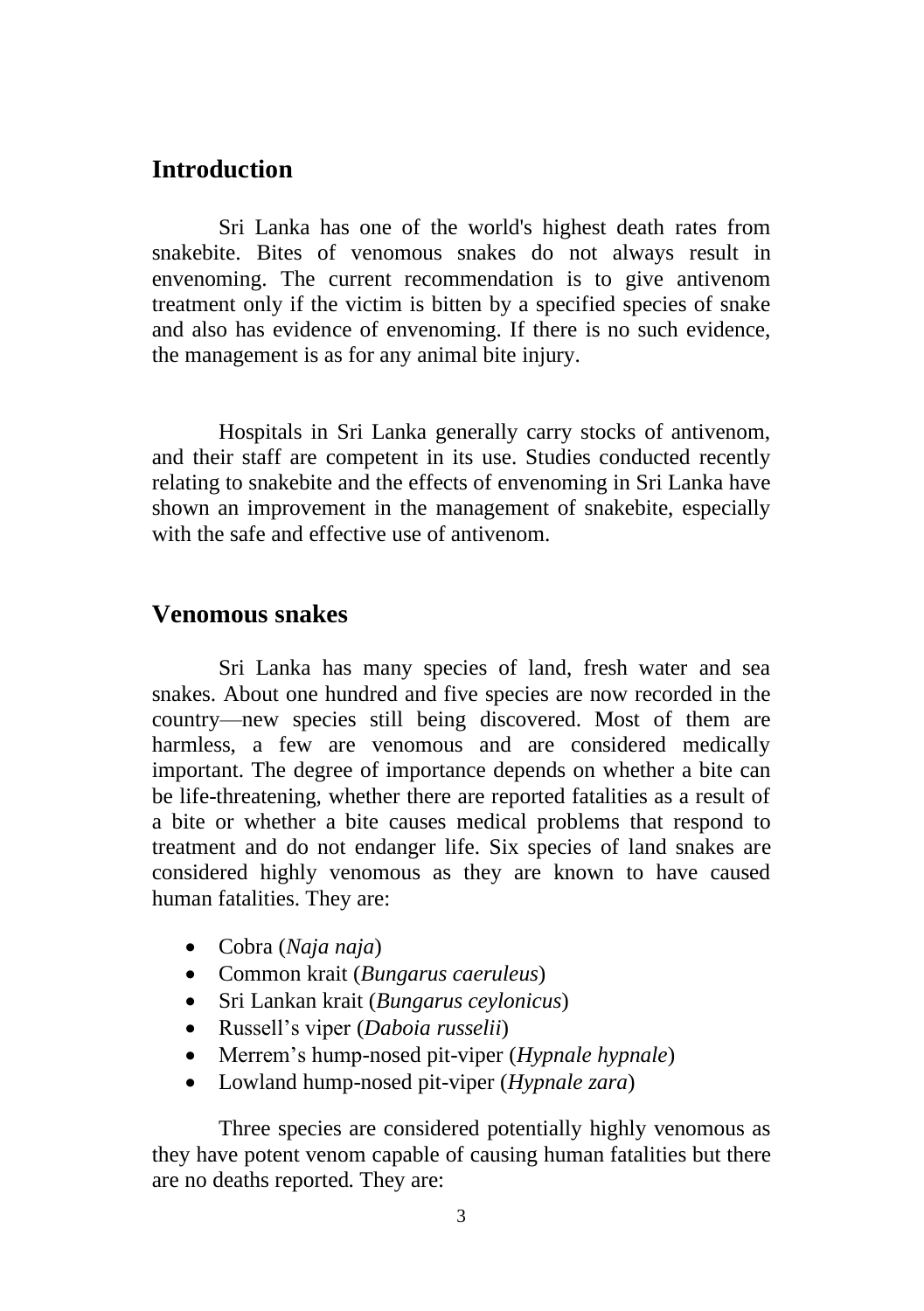#### **Introduction**

Sri Lanka has one of the world's highest death rates from snakebite. Bites of venomous snakes do not always result in envenoming. The current recommendation is to give antivenom treatment only if the victim is bitten by a specified species of snake and also has evidence of envenoming. If there is no such evidence, the management is as for any animal bite injury.

Hospitals in Sri Lanka generally carry stocks of antivenom, and their staff are competent in its use. Studies conducted recently relating to snakebite and the effects of envenoming in Sri Lanka have shown an improvement in the management of snakebite, especially with the safe and effective use of antivenom.

#### **Venomous snakes**

Sri Lanka has many species of land, fresh water and sea snakes. About one hundred and five species are now recorded in the country—new species still being discovered. Most of them are harmless, a few are venomous and are considered medically important. The degree of importance depends on whether a bite can be life-threatening, whether there are reported fatalities as a result of a bite or whether a bite causes medical problems that respond to treatment and do not endanger life. Six species of land snakes are considered highly venomous as they are known to have caused human fatalities. They are:

- Cobra (*Naja naja*)
- Common krait (*Bungarus caeruleus*)
- Sri Lankan krait (*Bungarus ceylonicus*)
- Russell's viper (*Daboia russelii*)
- Merrem's hump-nosed pit-viper (*Hypnale hypnale*)
- Lowland hump-nosed pit-viper (*Hypnale zara*)

Three species are considered potentially highly venomous as they have potent venom capable of causing human fatalities but there are no deaths reported. They are: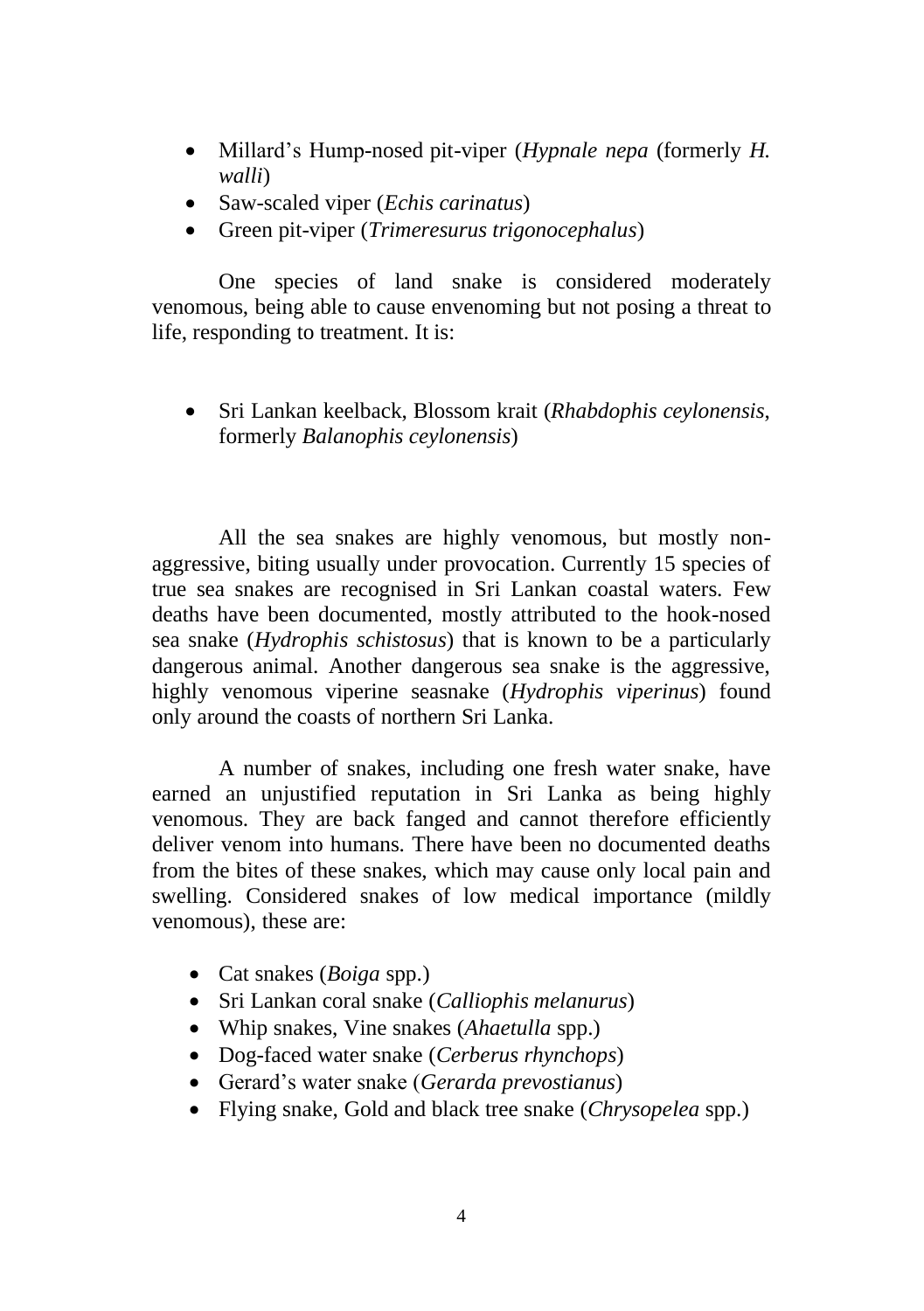- Millard's Hump-nosed pit-viper (*Hypnale nepa* (formerly *H. walli*)
- Saw-scaled viper (*Echis carinatus*)
- Green pit-viper (*Trimeresurus trigonocephalus*)

One species of land snake is considered moderately venomous, being able to cause envenoming but not posing a threat to life, responding to treatment. It is:

• Sri Lankan keelback, Blossom krait (*Rhabdophis ceylonensis*, formerly *Balanophis ceylonensis*)

All the sea snakes are highly venomous, but mostly nonaggressive, biting usually under provocation. Currently 15 species of true sea snakes are recognised in Sri Lankan coastal waters. Few deaths have been documented, mostly attributed to the hook-nosed sea snake (*Hydrophis schistosus*) that is known to be a particularly dangerous animal. Another dangerous sea snake is the aggressive, highly venomous viperine seasnake (*Hydrophis viperinus*) found only around the coasts of northern Sri Lanka.

A number of snakes, including one fresh water snake, have earned an unjustified reputation in Sri Lanka as being highly venomous. They are back fanged and cannot therefore efficiently deliver venom into humans. There have been no documented deaths from the bites of these snakes, which may cause only local pain and swelling. Considered snakes of low medical importance (mildly venomous), these are:

- Cat snakes (*Boiga* spp.)
- Sri Lankan coral snake (*Calliophis melanurus*)
- Whip snakes, Vine snakes (*Ahaetulla* spp.)
- Dog-faced water snake (*Cerberus rhynchops*)
- Gerard's water snake (*Gerarda prevostianus*)
- Flying snake, Gold and black tree snake (*Chrysopelea* spp.)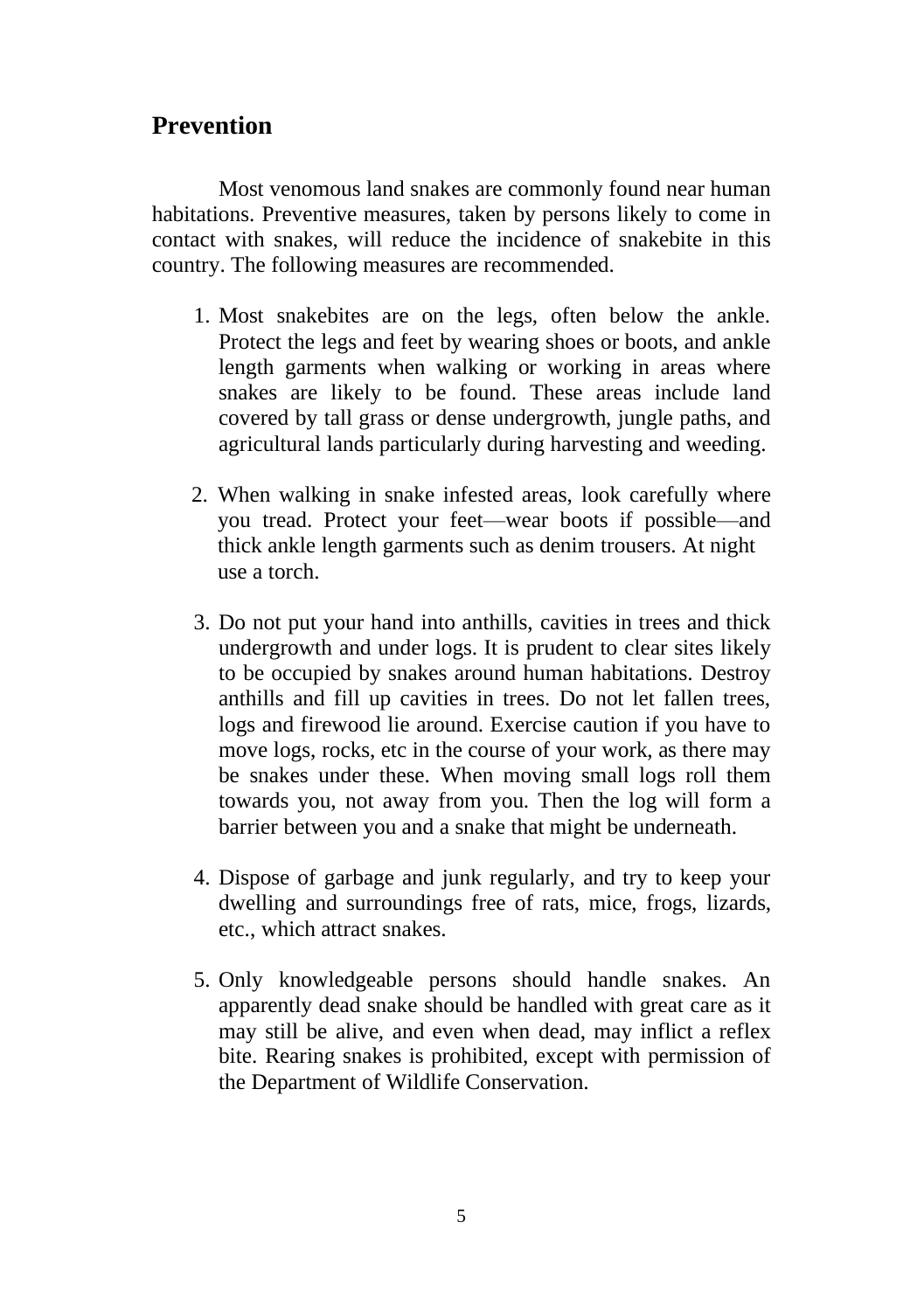### **Prevention**

Most venomous land snakes are commonly found near human habitations. Preventive measures, taken by persons likely to come in contact with snakes, will reduce the incidence of snakebite in this country. The following measures are recommended.

- 1. Most snakebites are on the legs, often below the ankle. Protect the legs and feet by wearing shoes or boots, and ankle length garments when walking or working in areas where snakes are likely to be found. These areas include land covered by tall grass or dense undergrowth, jungle paths, and agricultural lands particularly during harvesting and weeding.
- 2. When walking in snake infested areas, look carefully where you tread. Protect your feet—wear boots if possible—and thick ankle length garments such as denim trousers. At night use a torch.
- 3. Do not put your hand into anthills, cavities in trees and thick undergrowth and under logs. It is prudent to clear sites likely to be occupied by snakes around human habitations. Destroy anthills and fill up cavities in trees. Do not let fallen trees, logs and firewood lie around. Exercise caution if you have to move logs, rocks, etc in the course of your work, as there may be snakes under these. When moving small logs roll them towards you, not away from you. Then the log will form a barrier between you and a snake that might be underneath.
- 4. Dispose of garbage and junk regularly, and try to keep your dwelling and surroundings free of rats, mice, frogs, lizards, etc., which attract snakes.
- 5. Only knowledgeable persons should handle snakes. An apparently dead snake should be handled with great care as it may still be alive, and even when dead, may inflict a reflex bite. Rearing snakes is prohibited, except with permission of the Department of Wildlife Conservation.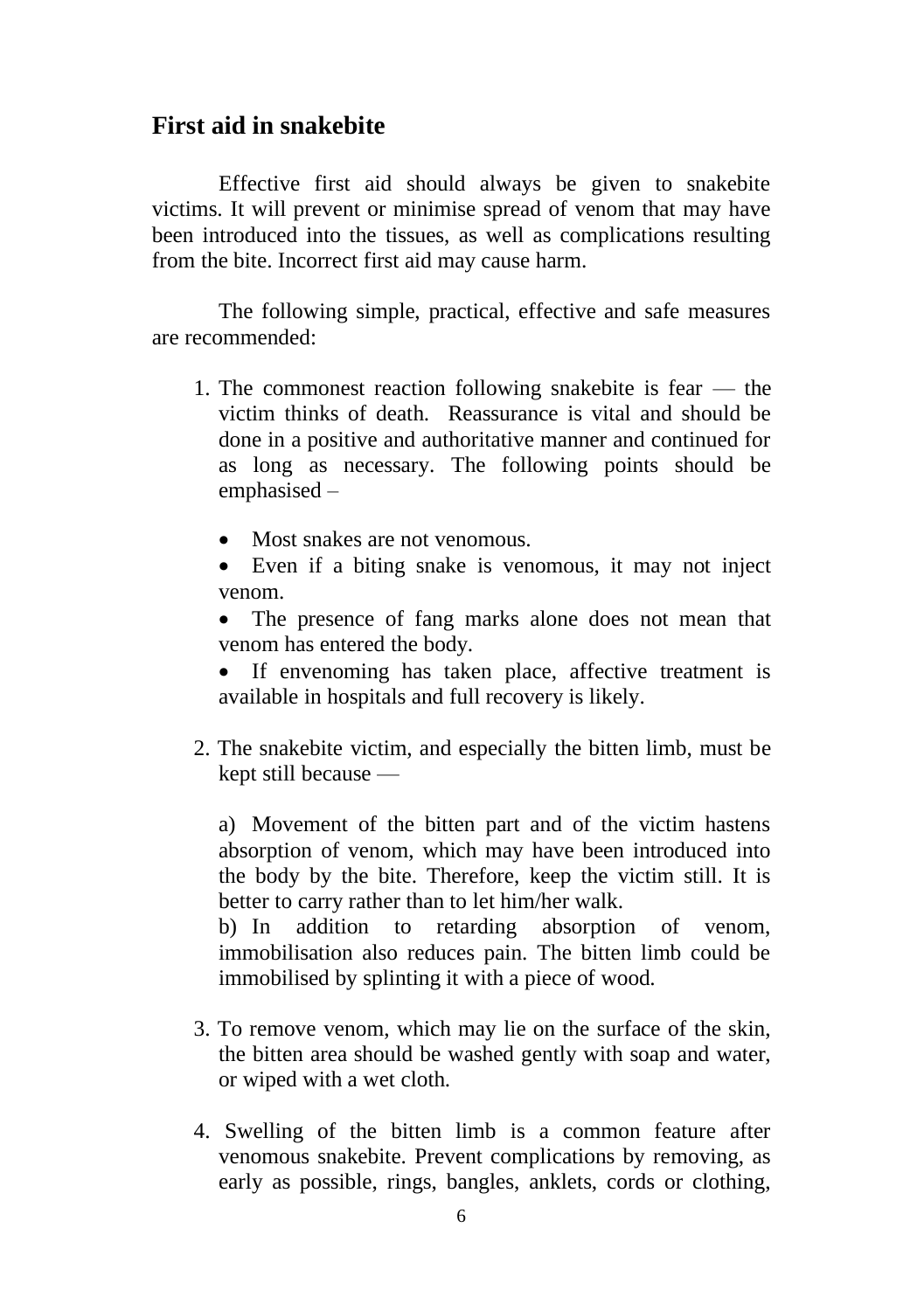#### **First aid in snakebite**

Effective first aid should always be given to snakebite victims. It will prevent or minimise spread of venom that may have been introduced into the tissues, as well as complications resulting from the bite. Incorrect first aid may cause harm.

The following simple, practical, effective and safe measures are recommended:

- 1. The commonest reaction following snakebite is fear the victim thinks of death. Reassurance is vital and should be done in a positive and authoritative manner and continued for as long as necessary. The following points should be emphasised –
	- Most snakes are not venomous.
	- Even if a biting snake is venomous, it may not inject venom.
	- The presence of fang marks alone does not mean that venom has entered the body.
	- If envenoming has taken place, affective treatment is available in hospitals and full recovery is likely.
- 2. The snakebite victim, and especially the bitten limb, must be kept still because —

a) Movement of the bitten part and of the victim hastens absorption of venom, which may have been introduced into the body by the bite. Therefore, keep the victim still. It is better to carry rather than to let him/her walk.

b) In addition to retarding absorption of venom, immobilisation also reduces pain. The bitten limb could be immobilised by splinting it with a piece of wood.

- 3. To remove venom, which may lie on the surface of the skin, the bitten area should be washed gently with soap and water, or wiped with a wet cloth.
- 4. Swelling of the bitten limb is a common feature after venomous snakebite. Prevent complications by removing, as early as possible, rings, bangles, anklets, cords or clothing,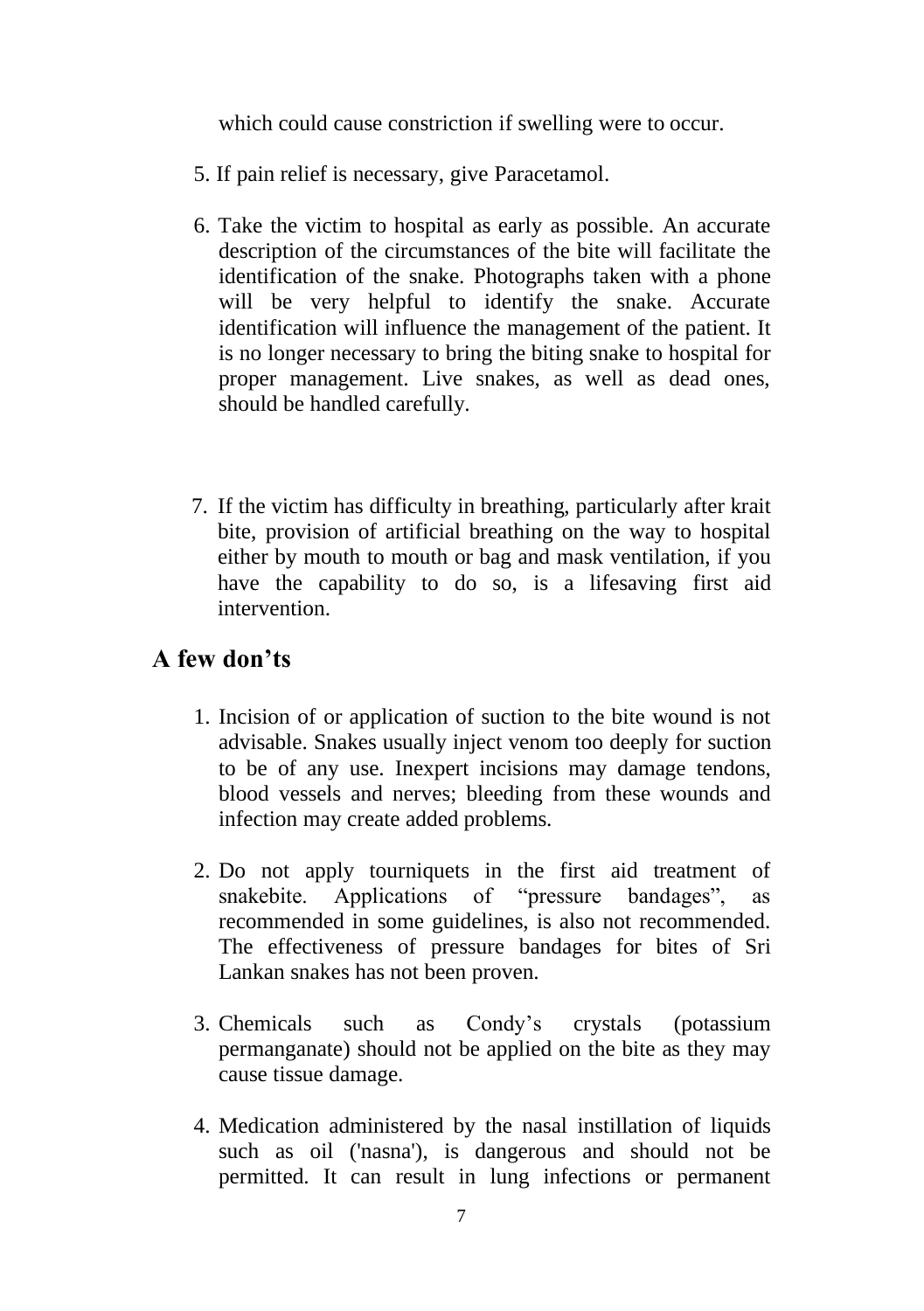which could cause constriction if swelling were to occur.

- 5. If pain relief is necessary, give Paracetamol.
- 6. Take the victim to hospital as early as possible. An accurate description of the circumstances of the bite will facilitate the identification of the snake. Photographs taken with a phone will be very helpful to identify the snake. Accurate identification will influence the management of the patient. It is no longer necessary to bring the biting snake to hospital for proper management. Live snakes, as well as dead ones, should be handled carefully.
- 7. If the victim has difficulty in breathing, particularly after krait bite, provision of artificial breathing on the way to hospital either by mouth to mouth or bag and mask ventilation, if you have the capability to do so, is a lifesaving first aid intervention.

### **A few don'ts**

- 1. Incision of or application of suction to the bite wound is not advisable. Snakes usually inject venom too deeply for suction to be of any use. Inexpert incisions may damage tendons, blood vessels and nerves; bleeding from these wounds and infection may create added problems.
- 2. Do not apply tourniquets in the first aid treatment of snakebite. Applications of "pressure bandages", as recommended in some guidelines, is also not recommended. The effectiveness of pressure bandages for bites of Sri Lankan snakes has not been proven.
- 3. Chemicals such as Condy's crystals (potassium permanganate) should not be applied on the bite as they may cause tissue damage.
- 4. Medication administered by the nasal instillation of liquids such as oil ('nasna'), is dangerous and should not be permitted. It can result in lung infections or permanent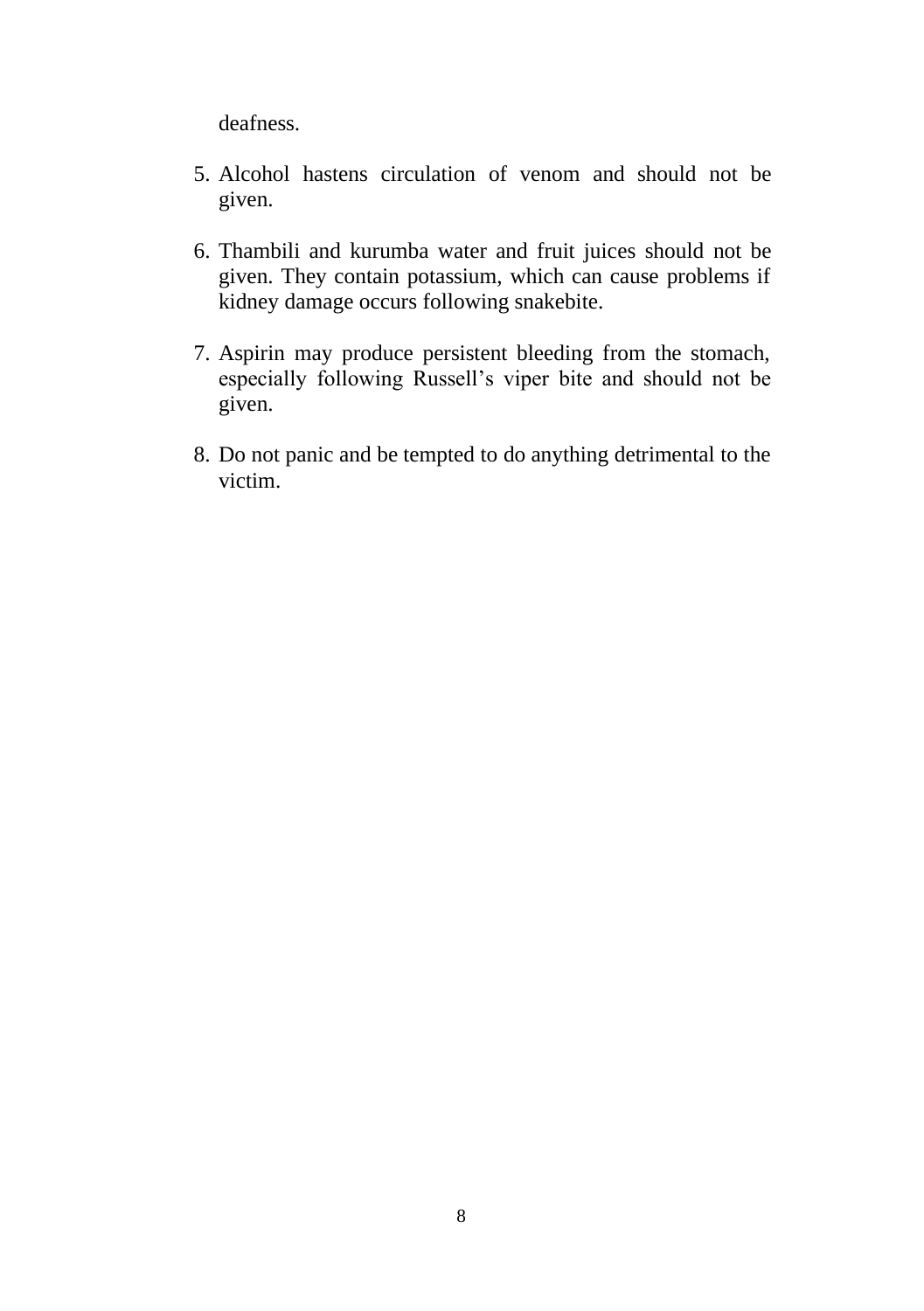deafness.

- 5. Alcohol hastens circulation of venom and should not be given.
- 6. Thambili and kurumba water and fruit juices should not be given. They contain potassium, which can cause problems if kidney damage occurs following snakebite.
- 7. Aspirin may produce persistent bleeding from the stomach, especially following Russell's viper bite and should not be given.
- 8. Do not panic and be tempted to do anything detrimental to the victim.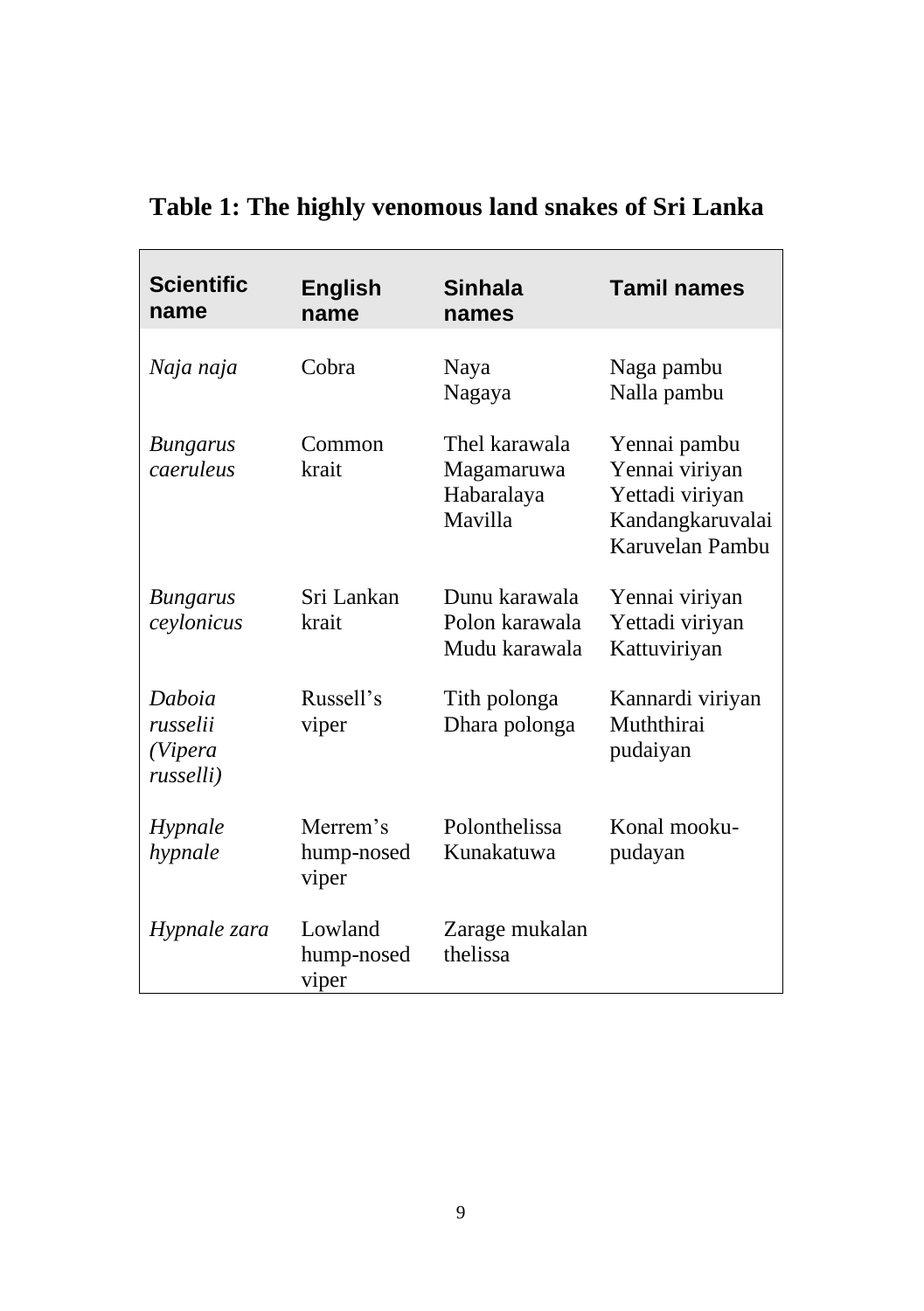| <b>Scientific</b><br>name                  | <b>English</b><br>name          | <b>Sinhala</b><br>names                              | <b>Tamil names</b>                                                                       |
|--------------------------------------------|---------------------------------|------------------------------------------------------|------------------------------------------------------------------------------------------|
| Naja naja                                  | Cobra                           | Naya<br>Nagaya                                       | Naga pambu<br>Nalla pambu                                                                |
| <b>Bungarus</b><br>caeruleus               | Common<br>krait                 | Thel karawala<br>Magamaruwa<br>Habaralaya<br>Mavilla | Yennai pambu<br>Yennai viriyan<br>Yettadi viriyan<br>Kandangkaruvalai<br>Karuvelan Pambu |
| <b>Bungarus</b><br>ceylonicus              | Sri Lankan<br>krait             | Dunu karawala<br>Polon karawala<br>Mudu karawala     | Yennai viriyan<br>Yettadi viriyan<br>Kattuviriyan                                        |
| Daboia<br>russelii<br>(Vipera<br>russelli) | Russell's<br>viper              | Tith polonga<br>Dhara polonga                        | Kannardi viriyan<br>Muththirai<br>pudaiyan                                               |
| Hypnale<br>hypnale                         | Merrem's<br>hump-nosed<br>viper | Polonthelissa<br>Kunakatuwa                          | Konal mooku-<br>pudayan                                                                  |
| Hypnale zara                               | Lowland<br>hump-nosed<br>viper  | Zarage mukalan<br>thelissa                           |                                                                                          |

## **Table 1: The highly venomous land snakes of Sri Lanka**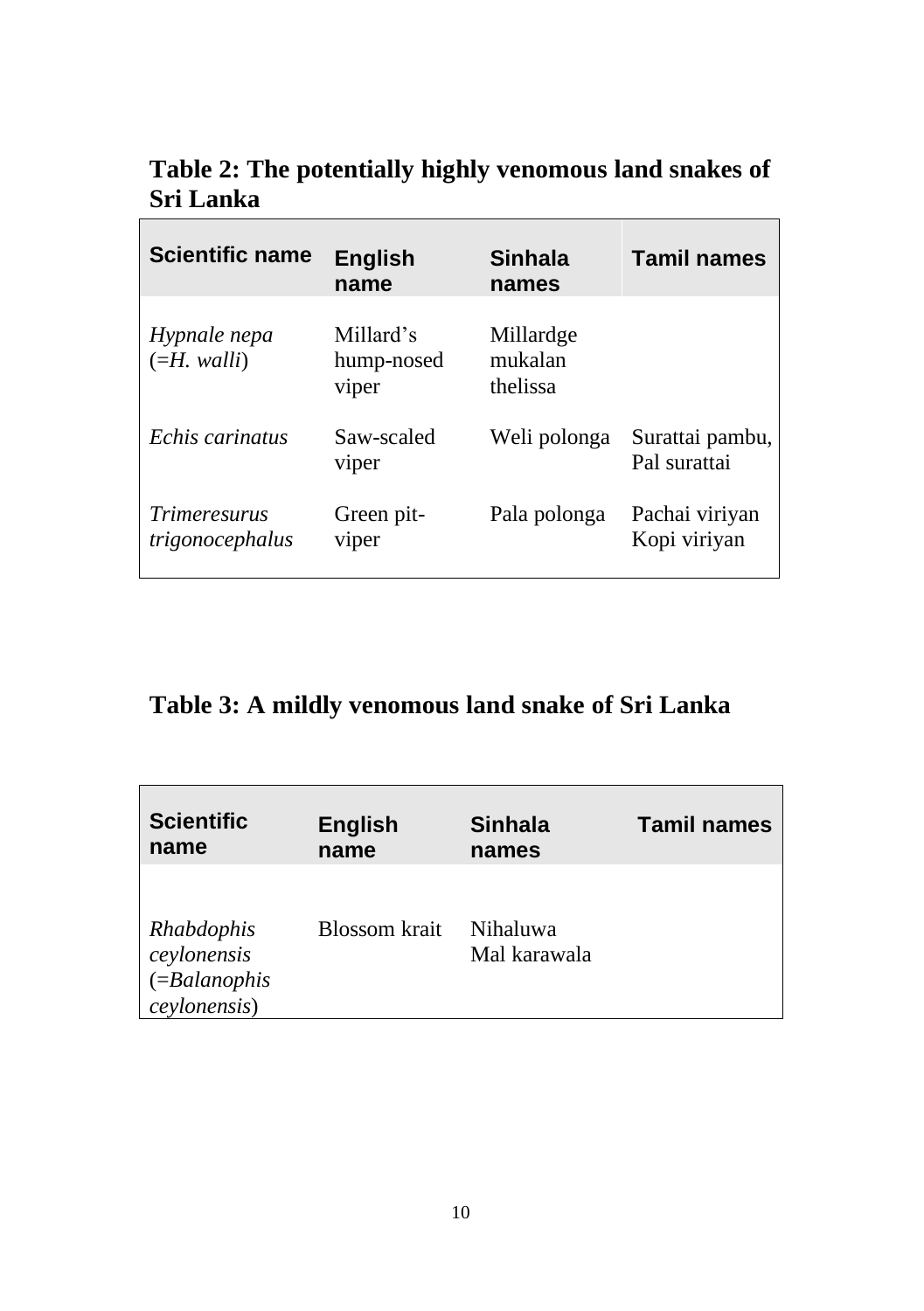| <b>Scientific name</b>                 | <b>English</b><br>name           | Sinhala<br>names                 | <b>Tamil names</b>              |
|----------------------------------------|----------------------------------|----------------------------------|---------------------------------|
| Hypnale nepa<br>$(=H.$ walli           | Millard's<br>hump-nosed<br>viper | Millardge<br>mukalan<br>thelissa |                                 |
| Echis carinatus                        | Saw-scaled<br>viper              | Weli polonga                     | Surattai pambu,<br>Pal surattai |
| <i>Trimeresurus</i><br>trigonocephalus | Green pit-<br>viper              | Pala polonga                     | Pachai viriyan<br>Kopi viriyan  |

**Table 2: The potentially highly venomous land snakes of Sri Lanka**

### **Table 3: A mildly venomous land snake of Sri Lanka**

| <b>Scientific</b>                                             | <b>English</b>       | <b>Sinhala</b>           | <b>Tamil names</b> |
|---------------------------------------------------------------|----------------------|--------------------------|--------------------|
| name                                                          | name                 | names                    |                    |
| Rhabdophis<br>ceylonensis<br>$( = Balanophis$<br>ceylonensis) | <b>Blossom</b> krait | Nihaluwa<br>Mal karawala |                    |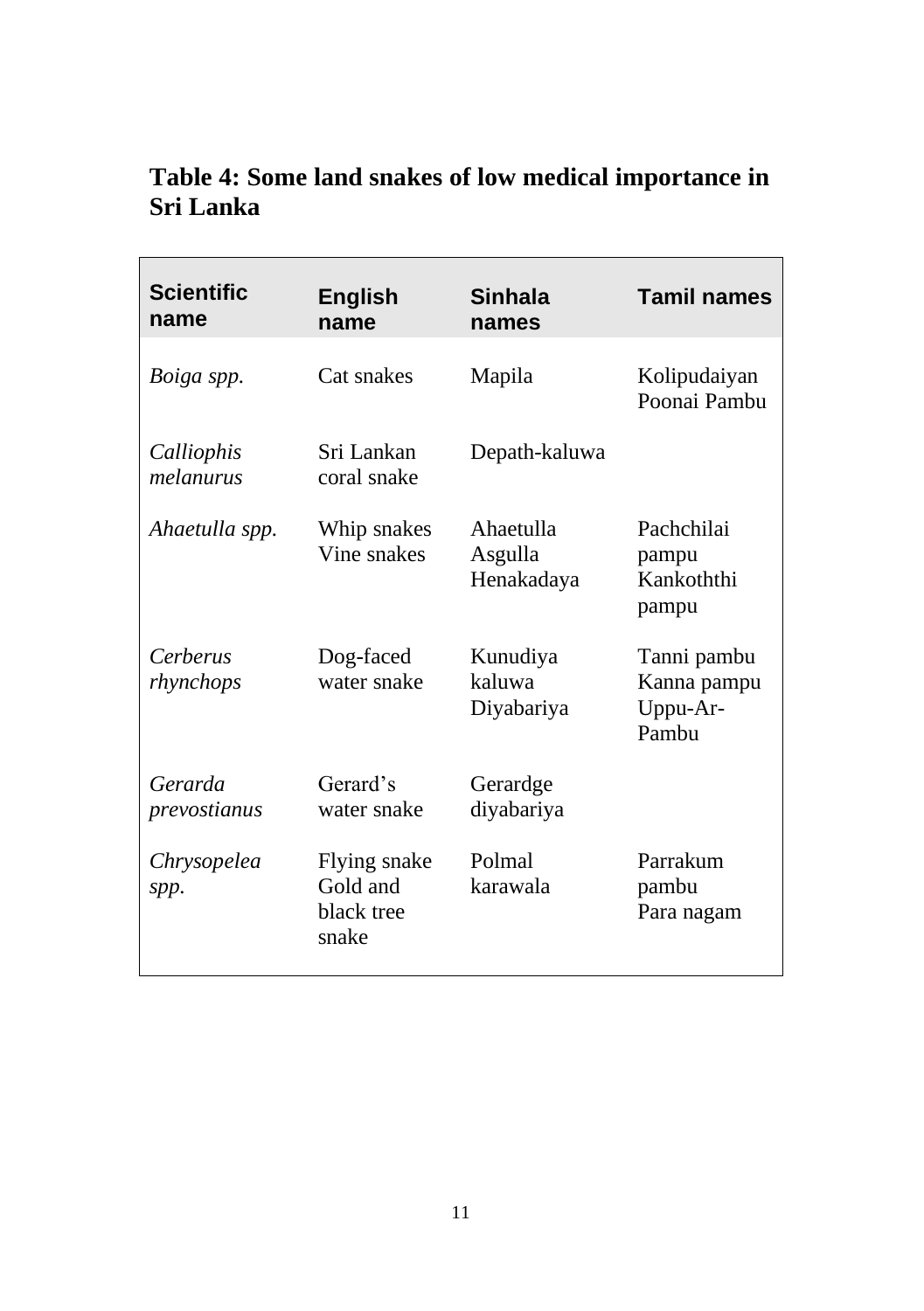### **Table 4: Some land snakes of low medical importance in Sri Lanka**

| <b>Scientific</b><br>name | English<br>name                                 | <b>Sinhala</b><br>names            | <b>Tamil names</b>                              |
|---------------------------|-------------------------------------------------|------------------------------------|-------------------------------------------------|
| Boiga spp.                | Cat snakes                                      | Mapila                             | Kolipudaiyan<br>Poonai Pambu                    |
| Calliophis<br>melanurus   | Sri Lankan<br>coral snake                       | Depath-kaluwa                      |                                                 |
| Ahaetulla spp.            | Whip snakes<br>Vine snakes                      | Ahaetulla<br>Asgulla<br>Henakadaya | Pachchilai<br>pampu<br>Kankoththi<br>pampu      |
| Cerberus<br>rhynchops     | Dog-faced<br>water snake                        | Kunudiya<br>kaluwa<br>Diyabariya   | Tanni pambu<br>Kanna pampu<br>Uppu-Ar-<br>Pambu |
| Gerarda<br>prevostianus   | Gerard's<br>water snake                         | Gerardge<br>diyabariya             |                                                 |
| Chrysopelea<br>spp.       | Flying snake<br>Gold and<br>black tree<br>snake | Polmal<br>karawala                 | Parrakum<br>pambu<br>Para nagam                 |